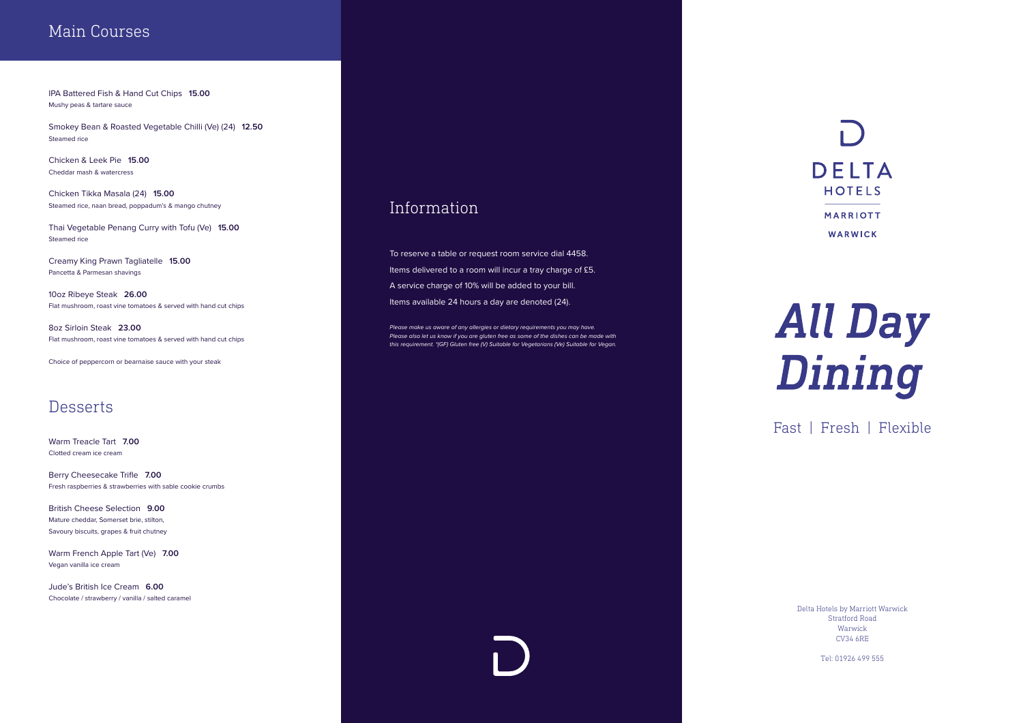### Main Courses

IPA Battered Fish & Hand Cut Chips **15.00** Mushy peas & tartare sauce

Smokey Bean & Roasted Vegetable Chilli (Ve) (24) **12.50** Steamed rice

Chicken & Leek Pie **15.00** Cheddar mash & watercress

Chicken Tikka Masala (24) **15.00** Steamed rice, naan bread, poppadum's & mango chutney

Thai Vegetable Penang Curry with Tofu (Ve) **15.00** Steamed rice

Creamy King Prawn Tagliatelle **15.00** Pancetta & Parmesan shavings

10oz Ribeye Steak **26.00** Flat mushroom, roast vine tomatoes & served with hand cut chips

8oz Sirloin Steak **23.00** Flat mushroom, roast vine tomatoes & served with hand cut chips

Choice of peppercorn or bearnaise sauce with your steak

### **Desserts**

Warm Treacle Tart **7.00** Clotted cream ice cream

Berry Cheesecake Trifle **7.00** Fresh raspberries & strawberries with sable cookie crumbs

British Cheese Selection **9.00** Mature cheddar, Somerset brie, stilton, Savoury biscuits, grapes & fruit chutney

Warm French Apple Tart (Ve) **7.00** Vegan vanilla ice cream

Jude's British Ice Cream **6.00** Chocolate / strawberry / vanilla / salted caramel

### **Information**

To reserve a table or request room service dial 4458. Items delivered to a room will incur a tray charge of £5. A service charge of 10% will be added to your bill. Items available 24 hours a day are denoted (24).

*Please make us aware of any allergies or dietary requirements you may have. Please also let us know if you are gluten free as some of the dishes can be made with this requirement. \*(GF) Gluten free (V) Suitable for Vegetarians (Ve) Suitable for Vegan.*



# **All Day<br>Dining**

Delta Hotels by Marriott Warwick Stratford Road Warwick CV34 6RE

Tel: 01926 499 555

## Fast | Fresh | Flexible